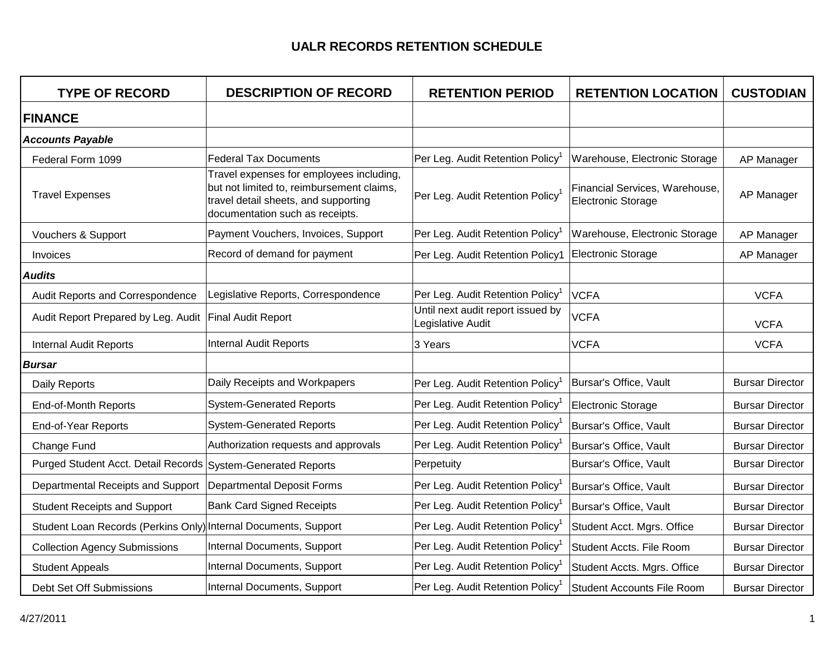| <b>TYPE OF RECORD</b>                                           | <b>DESCRIPTION OF RECORD</b>                                                                                                                                     | <b>RETENTION PERIOD</b>                                | <b>RETENTION LOCATION</b>                                   | <b>CUSTODIAN</b>       |
|-----------------------------------------------------------------|------------------------------------------------------------------------------------------------------------------------------------------------------------------|--------------------------------------------------------|-------------------------------------------------------------|------------------------|
| <b>FINANCE</b>                                                  |                                                                                                                                                                  |                                                        |                                                             |                        |
| <b>Accounts Payable</b>                                         |                                                                                                                                                                  |                                                        |                                                             |                        |
| Federal Form 1099                                               | <b>Federal Tax Documents</b>                                                                                                                                     | Per Leg. Audit Retention Policy <sup>1</sup>           | Warehouse, Electronic Storage                               | AP Manager             |
| <b>Travel Expenses</b>                                          | Travel expenses for employees including,<br>but not limited to, reimbursement claims,<br>travel detail sheets, and supporting<br>documentation such as receipts. | Per Leg. Audit Retention Policy <sup>1</sup>           | Financial Services, Warehouse,<br><b>Electronic Storage</b> | AP Manager             |
| Vouchers & Support                                              | Payment Vouchers, Invoices, Support                                                                                                                              | Per Leg. Audit Retention Policy <sup>1</sup>           | Warehouse, Electronic Storage                               | AP Manager             |
| <b>Invoices</b>                                                 | Record of demand for payment                                                                                                                                     | Per Leg. Audit Retention Policy1                       | Electronic Storage                                          | AP Manager             |
| <b>Audits</b>                                                   |                                                                                                                                                                  |                                                        |                                                             |                        |
| Audit Reports and Correspondence                                | Legislative Reports, Correspondence                                                                                                                              | Per Leg. Audit Retention Policy <sup>1</sup>           | <b>VCFA</b>                                                 | <b>VCFA</b>            |
| Audit Report Prepared by Leg. Audit Final Audit Report          |                                                                                                                                                                  | Until next audit report issued by<br>Legislative Audit | <b>VCFA</b>                                                 | <b>VCFA</b>            |
| <b>Internal Audit Reports</b>                                   | <b>Internal Audit Reports</b>                                                                                                                                    | 3 Years                                                | <b>VCFA</b>                                                 | <b>VCFA</b>            |
| <b>Bursar</b>                                                   |                                                                                                                                                                  |                                                        |                                                             |                        |
| Daily Reports                                                   | Daily Receipts and Workpapers                                                                                                                                    | Per Leg. Audit Retention Policy <sup>1</sup>           | Bursar's Office, Vault                                      | <b>Bursar Director</b> |
| End-of-Month Reports                                            | <b>System-Generated Reports</b>                                                                                                                                  | Per Leg. Audit Retention Policy <sup>1</sup>           | Electronic Storage                                          | <b>Bursar Director</b> |
| End-of-Year Reports                                             | <b>System-Generated Reports</b>                                                                                                                                  | Per Leg. Audit Retention Policy <sup>1</sup>           | Bursar's Office, Vault                                      | <b>Bursar Director</b> |
| Change Fund                                                     | Authorization requests and approvals                                                                                                                             | Per Leg. Audit Retention Policy <sup>1</sup>           | Bursar's Office, Vault                                      | <b>Bursar Director</b> |
| Purged Student Acct. Detail Records System-Generated Reports    |                                                                                                                                                                  | Perpetuity                                             | Bursar's Office, Vault                                      | <b>Bursar Director</b> |
| Departmental Receipts and Support                               | Departmental Deposit Forms                                                                                                                                       | Per Leg. Audit Retention Policy <sup>1</sup>           | Bursar's Office, Vault                                      | <b>Bursar Director</b> |
| <b>Student Receipts and Support</b>                             | <b>Bank Card Signed Receipts</b>                                                                                                                                 | Per Leg. Audit Retention Policy <sup>1</sup>           | Bursar's Office, Vault                                      | <b>Bursar Director</b> |
| Student Loan Records (Perkins Only) Internal Documents, Support |                                                                                                                                                                  | Per Leg. Audit Retention Policy <sup>1</sup>           | Student Acct. Mgrs. Office                                  | <b>Bursar Director</b> |
| <b>Collection Agency Submissions</b>                            | Internal Documents, Support                                                                                                                                      | Per Leg. Audit Retention Policy <sup>1</sup>           | Student Accts. File Room                                    | <b>Bursar Director</b> |
| <b>Student Appeals</b>                                          | Internal Documents, Support                                                                                                                                      | Per Leg. Audit Retention Policy <sup>1</sup>           | Student Accts. Mgrs. Office                                 | <b>Bursar Director</b> |
| Debt Set Off Submissions                                        | Internal Documents, Support                                                                                                                                      | Per Leg. Audit Retention Policy <sup>1</sup>           | <b>Student Accounts File Room</b>                           | <b>Bursar Director</b> |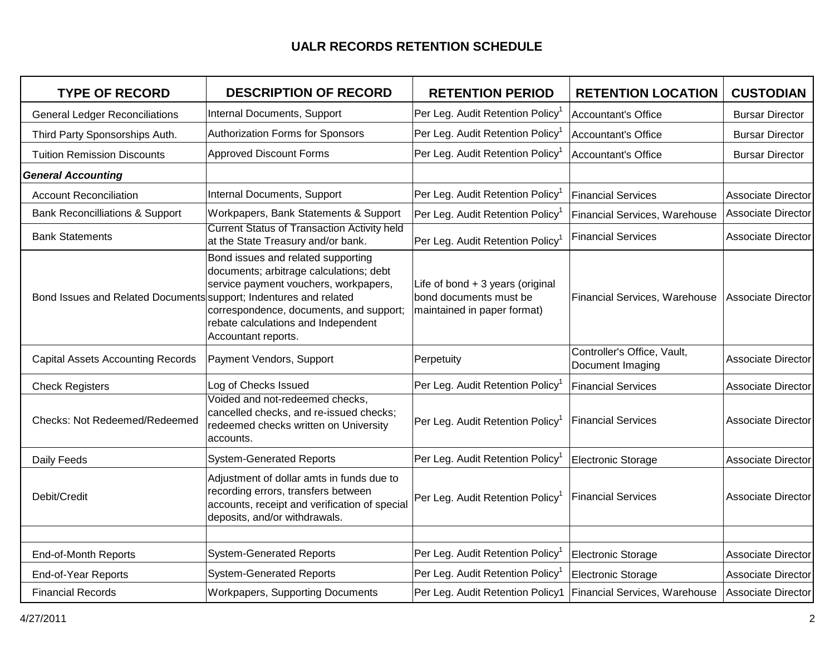| <b>TYPE OF RECORD</b>                                             | <b>DESCRIPTION OF RECORD</b>                                                                                                                                                                                                    | <b>RETENTION PERIOD</b>                                                                   | <b>RETENTION LOCATION</b>                       | <b>CUSTODIAN</b>          |
|-------------------------------------------------------------------|---------------------------------------------------------------------------------------------------------------------------------------------------------------------------------------------------------------------------------|-------------------------------------------------------------------------------------------|-------------------------------------------------|---------------------------|
| <b>General Ledger Reconciliations</b>                             | Internal Documents, Support                                                                                                                                                                                                     | Per Leg. Audit Retention Policy                                                           | Accountant's Office                             | <b>Bursar Director</b>    |
| Third Party Sponsorships Auth.                                    | Authorization Forms for Sponsors                                                                                                                                                                                                | Per Leg. Audit Retention Policy <sup>1</sup>                                              | Accountant's Office                             | <b>Bursar Director</b>    |
| <b>Tuition Remission Discounts</b>                                | <b>Approved Discount Forms</b>                                                                                                                                                                                                  | Per Leg. Audit Retention Policy <sup>1</sup>                                              | Accountant's Office                             | <b>Bursar Director</b>    |
| <b>General Accounting</b>                                         |                                                                                                                                                                                                                                 |                                                                                           |                                                 |                           |
| <b>Account Reconciliation</b>                                     | Internal Documents, Support                                                                                                                                                                                                     | Per Leg. Audit Retention Policy                                                           | <b>Financial Services</b>                       | <b>Associate Director</b> |
| <b>Bank Reconcilliations &amp; Support</b>                        | Workpapers, Bank Statements & Support                                                                                                                                                                                           | Per Leg. Audit Retention Policy <sup>1</sup>                                              | Financial Services, Warehouse                   | <b>Associate Director</b> |
| <b>Bank Statements</b>                                            | <b>Current Status of Transaction Activity held</b><br>at the State Treasury and/or bank.                                                                                                                                        | Per Leg. Audit Retention Policy <sup>1</sup>                                              | <b>Financial Services</b>                       | Associate Director        |
| Bond Issues and Related Documents support; Indentures and related | Bond issues and related supporting<br>documents; arbitrage calculations; debt<br>service payment vouchers, workpapers,<br>correspondence, documents, and support;<br>rebate calculations and Independent<br>Accountant reports. | Life of bond + 3 years (original<br>bond documents must be<br>maintained in paper format) | Financial Services, Warehouse                   | Associate Director        |
| <b>Capital Assets Accounting Records</b>                          | Payment Vendors, Support                                                                                                                                                                                                        | Perpetuity                                                                                | Controller's Office, Vault,<br>Document Imaging | Associate Director        |
| <b>Check Registers</b>                                            | Log of Checks Issued                                                                                                                                                                                                            | Per Leg. Audit Retention Policy                                                           | <b>Financial Services</b>                       | <b>Associate Director</b> |
| Checks: Not Redeemed/Redeemed                                     | Voided and not-redeemed checks,<br>cancelled checks, and re-issued checks;<br>redeemed checks written on University<br>accounts.                                                                                                | Per Leg. Audit Retention Policy <sup>1</sup>                                              | <b>Financial Services</b>                       | <b>Associate Director</b> |
| Daily Feeds                                                       | <b>System-Generated Reports</b>                                                                                                                                                                                                 | Per Leg. Audit Retention Policy <sup>1</sup>                                              | Electronic Storage                              | <b>Associate Director</b> |
| Debit/Credit                                                      | Adjustment of dollar amts in funds due to<br>recording errors, transfers between<br>accounts, receipt and verification of special<br>deposits, and/or withdrawals.                                                              | Per Leg. Audit Retention Policy <sup>1</sup>                                              | <b>Financial Services</b>                       | <b>Associate Director</b> |
|                                                                   |                                                                                                                                                                                                                                 |                                                                                           |                                                 |                           |
| End-of-Month Reports                                              | <b>System-Generated Reports</b>                                                                                                                                                                                                 | Per Leg. Audit Retention Policy                                                           | Electronic Storage                              | <b>Associate Director</b> |
| End-of-Year Reports                                               | <b>System-Generated Reports</b>                                                                                                                                                                                                 | Per Leg. Audit Retention Policy <sup>1</sup>                                              | Electronic Storage                              | <b>Associate Director</b> |
| <b>Financial Records</b>                                          | <b>Workpapers, Supporting Documents</b>                                                                                                                                                                                         | Per Leg. Audit Retention Policy1                                                          | <b>Financial Services, Warehouse</b>            | Associate Director        |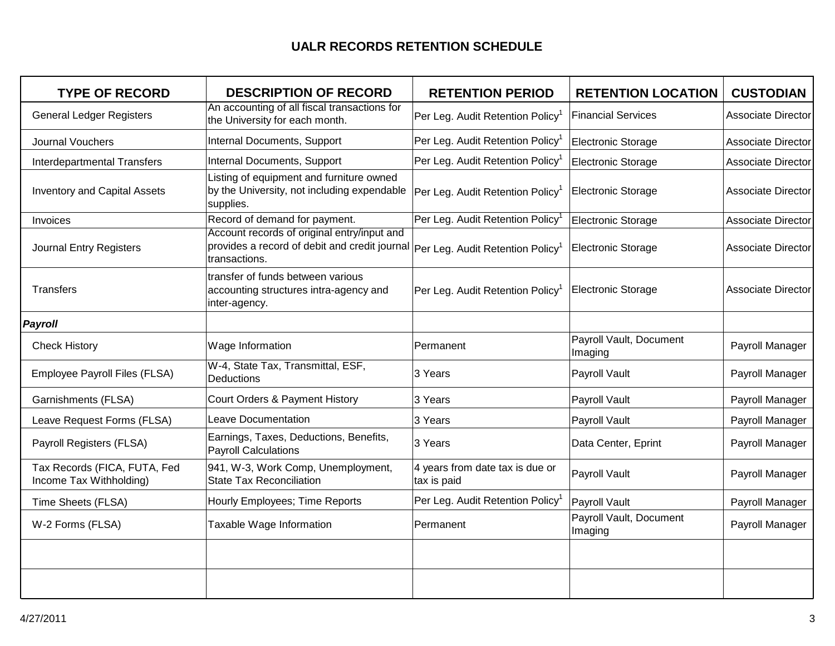| <b>TYPE OF RECORD</b>                                   | <b>DESCRIPTION OF RECORD</b>                                                                                                                               | <b>RETENTION PERIOD</b>                        | <b>RETENTION LOCATION</b>          | <b>CUSTODIAN</b>          |
|---------------------------------------------------------|------------------------------------------------------------------------------------------------------------------------------------------------------------|------------------------------------------------|------------------------------------|---------------------------|
| <b>General Ledger Registers</b>                         | An accounting of all fiscal transactions for<br>the University for each month.                                                                             | Per Leg. Audit Retention Policy <sup>1</sup>   | <b>Financial Services</b>          | <b>Associate Director</b> |
| <b>Journal Vouchers</b>                                 | Internal Documents, Support                                                                                                                                | Per Leg. Audit Retention Policy <sup>1</sup>   | Electronic Storage                 | <b>Associate Director</b> |
| <b>Interdepartmental Transfers</b>                      | Internal Documents, Support                                                                                                                                | Per Leg. Audit Retention Policy                | <b>Electronic Storage</b>          | <b>Associate Director</b> |
| <b>Inventory and Capital Assets</b>                     | Listing of equipment and furniture owned<br>by the University, not including expendable<br>supplies.                                                       | Per Leg. Audit Retention Policy                | <b>Electronic Storage</b>          | Associate Director        |
| Invoices                                                | Record of demand for payment.                                                                                                                              | Per Leg. Audit Retention Policy                | Electronic Storage                 | <b>Associate Director</b> |
| <b>Journal Entry Registers</b>                          | Account records of original entry/input and<br>provides a record of debit and credit journal Per Leg. Audit Retention Policy <sup>1</sup><br>transactions. |                                                | <b>Electronic Storage</b>          | Associate Director        |
| <b>Transfers</b>                                        | transfer of funds between various<br>accounting structures intra-agency and<br>inter-agency.                                                               | Per Leg. Audit Retention Policy                | <b>Electronic Storage</b>          | <b>Associate Director</b> |
| Payroll                                                 |                                                                                                                                                            |                                                |                                    |                           |
| <b>Check History</b>                                    | Wage Information                                                                                                                                           | Permanent                                      | Payroll Vault, Document<br>Imaging | Payroll Manager           |
| Employee Payroll Files (FLSA)                           | W-4, State Tax, Transmittal, ESF,<br><b>Deductions</b>                                                                                                     | 3 Years                                        | Payroll Vault                      | Payroll Manager           |
| Garnishments (FLSA)                                     | Court Orders & Payment History                                                                                                                             | 3 Years                                        | Payroll Vault                      | Payroll Manager           |
| Leave Request Forms (FLSA)                              | <b>Leave Documentation</b>                                                                                                                                 | 3 Years                                        | Payroll Vault                      | Payroll Manager           |
| Payroll Registers (FLSA)                                | Earnings, Taxes, Deductions, Benefits,<br><b>Payroll Calculations</b>                                                                                      | 3 Years                                        | Data Center, Eprint                | Payroll Manager           |
| Tax Records (FICA, FUTA, Fed<br>Income Tax Withholding) | 941, W-3, Work Comp, Unemployment,<br><b>State Tax Reconciliation</b>                                                                                      | 4 years from date tax is due or<br>tax is paid | Payroll Vault                      | Payroll Manager           |
| Time Sheets (FLSA)                                      | Hourly Employees; Time Reports                                                                                                                             | Per Leg. Audit Retention Policy                | Payroll Vault                      | Payroll Manager           |
| W-2 Forms (FLSA)                                        | Taxable Wage Information                                                                                                                                   | Permanent                                      | Payroll Vault, Document<br>Imaging | Payroll Manager           |
|                                                         |                                                                                                                                                            |                                                |                                    |                           |
|                                                         |                                                                                                                                                            |                                                |                                    |                           |